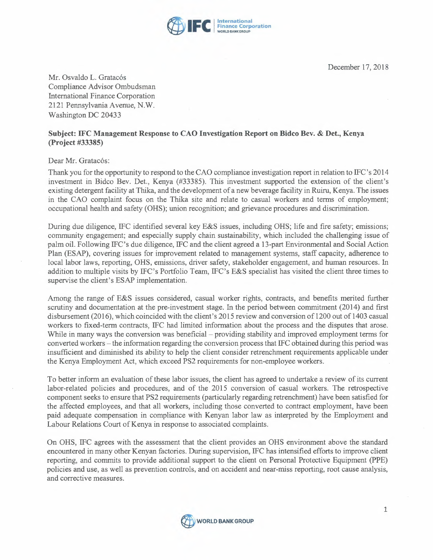

December 17, 2018

Mr. Osvaldo L. Gratacós Compliance Advisor Ombudsman International Finance Corporation 2121 Pennsylvania Avenue, N.W. Washington DC 20433

## **Subject: IFC Management Response to CAO Investigation Report on Bidco Bev. & Det., Kenya (Project #33385)**

Dear Mr. Gratacós:

Thank you for the opportunity to respond to the CAO compliance investigation report in relation to IFC 's 2014 investment in Bidco Bev. Det., Kenya (#33385). This investment supported the extension of the client's existing detergent facility at Thika, and the development of a new beverage facility in Ruiru, Kenya. The issues in the CAO complaint focus on the Thika site and relate to casual workers and terms of employment; occupational health and safety (OHS); union recognition; and grievance procedures and discrimination.

During due diligence, IFC identified several key E&S issues, including OHS; life and fire safety; emissions; community engagement; and especially supply chain sustainability, which included the challenging issue of palm oil. Following IFC's due diligence, IFC and the client agreed a 13-part Environmental and Social Action Plan (ESAP), covering issues for improvement related to management systems, staff capacity, adherence to local labor laws, reporting, OHS, emissions, driver safety, stakeholder engagement, and human resources. In addition to multiple visits by IFC's Portfolio Team, IFC's E&S specialist has visited the client three times to supervise the client's ESAP implementation.

Among the range of E&S issues considered, casual worker rights, contracts, and benefits merited further scrutiny and documentation at the pre-investment stage. In the period between commitment (2014) and first disbursement (2016), which coincided with the client's 2015 review and conversion of 1200 out of 1403 casual workers to fixed-term contracts, IFC had limited information about the process and the disputes that arose. While in many ways the conversion was beneficial – providing stability and improved employment terms for converted workers - the information regarding the conversion process that IFC obtained during this period was insufficient and diminished its ability to help the client consider retrenchment requirements applicable under the Kenya Employment Act, which exceed PS2 requirements for non-employee workers.

To better inform an evaluation of these labor issues, the client has agreed to undertake a review of its current labor-related policies and procedures, and of the 2015 conversion of casual workers. The retrospective component seeks to ensure that PS2 requirements (particularly regarding retrenchment) have been satisfied for the affected employees, and that all workers, including those converted to contract employment, have been paid adequate compensation in compliance with Kenyan labor law as interpreted by the Employment and Labour Relations Court of Kenya in response to associated complaints.

On OHS, IFC agrees with the assessment that the client provides an OHS environment above the standard encountered in many other Kenyan factories. During supervision, IFC has intensified efforts to improve client reporting, and commits to provide additional support to the client on Personal Protective Equipment (PPE) policies and use, as well as prevention controls, and on accident and near-miss reporting, root cause analysis, and corrective measures.

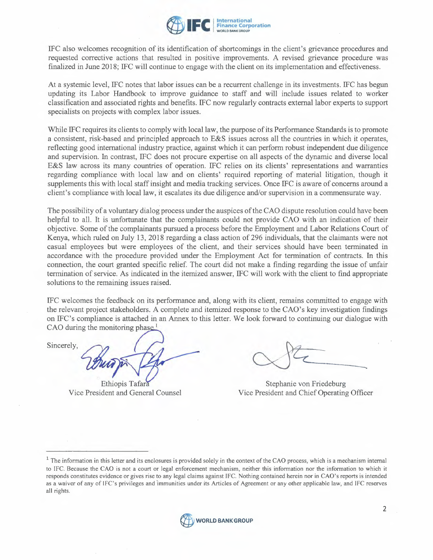

IFC also welcomes recognition of its identification of shortcomings in the client's grievance procedures and requested corrective actions that resulted in positive improvements. A revised grievance procedure was finalized in June 2018; IFC will continue to engage with the client on its implementation and effectiveness.

At a systemic level, IFC notes that labor issues can be a recurrent challenge in its investments. IFC has begun updating its Labor Handbook to improve guidance to staff and will include issues related to worker classification and associated rights and benefits. IFC now regularly contracts external labor experts to support specialists on projects with complex labor issues.

While IFC requires its clients to comply with local law, the purpose of its Performance Standards is to promote a consistent, risk-based and principled approach to E&S issues across all the countries in which it operates, reflecting good international industry practice, against which it can perform robust independent due diligence and supervision. In contrast, IFC does not procure expertise on all aspects of the dynamic and diverse local E&S law across its many countries of operation. IFC relies on its clients' representations and warranties regarding compliance with local law and on clients' required reporting of material litigation, though it supplements this with local staff insight and media tracking services. Once IFC is aware of concerns around a client's compliance with local law, it escalates its due diligence and/or supervision in a commensurate way.

The possibility of a voluntary dialog process under the auspices of the CAO dispute resolution could have been helpful to all. It is unfortunate that the complainants could not provide CAO with an indication of their objective. Some of the complainants pursued a process before the Employment and Labor Relations Court of Kenya, which ruled on July 13, 2018 regarding a class action of 296 individuals, that the claimants were not casual employees but were employees of the client, and their services should have been terminated in accordance with the procedure provided under the Employment Act for termination of contracts. In this connection, the court granted specific relief. The court did not make a finding regarding the issue of unfair termination of service. As indicated in the itemized answer, IFC will work with the client to find appropriate solutions to the remaining issues raised.

IFC welcomes the feedback on its performance and, along with its client, remains committed to engage with the relevant project stakeholders. A complete and itemized response to the CAO's key investigation findings on IFC's compliance is attached in an Annex to this letter. We look forward to continuing our dialogue with CAO during the monitoring phase.<sup>1</sup>

Socialistics to the femaning issues raised.<br>IFC welcomes the feedback on its performed the relevant project stakeholders. A concentration on IFC's compliance is attached in an *FCAO* during the monitoring phase.<sup>1</sup>

Ethiopis Tafara Vice President and General Counsel

Stephanie von Friedeburg Vice President and Chief Operating Officer

 $1$  The information in this letter and its enclosures is provided solely in the context of the CAO process, which is a mechanism internal to IFC. Because the CAO is not a court or legal enforcement mechanism, neither this information nor the information to which it responds constitutes evidence or gives rise to any legal claims against IFC. Nothing contained herein nor in CAO's reports is intended as a waiver of any of lFC's privileges and 'immunities under its Articles of Agreement or any other applicable law, and IFC reserves all rights.

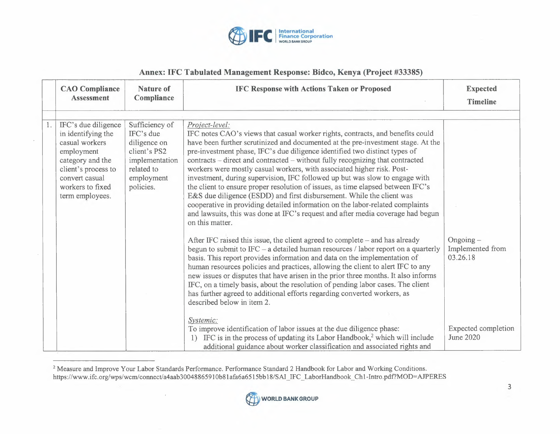

## **Annex: IFC Tabulated Management Response: Bidco, Kenya (Project #33385)**

| <b>CAO</b> Compliance<br><b>Assessment</b>                                                                                                                                    | <b>Nature of</b><br>Compliance                                                                                         | <b>IFC Response with Actions Taken or Proposed</b>                                                                                                                                                                                                                                                                                                                                                                                                                                                                                                                                                                                                                                                                                                                                                                                                                                                                                                                                                                                                                                                                                                                                                                                                                                                                                                                                                                                                                                                                                                                                                                                                                     | <b>Expected</b><br><b>Timeline</b>                                                        |
|-------------------------------------------------------------------------------------------------------------------------------------------------------------------------------|------------------------------------------------------------------------------------------------------------------------|------------------------------------------------------------------------------------------------------------------------------------------------------------------------------------------------------------------------------------------------------------------------------------------------------------------------------------------------------------------------------------------------------------------------------------------------------------------------------------------------------------------------------------------------------------------------------------------------------------------------------------------------------------------------------------------------------------------------------------------------------------------------------------------------------------------------------------------------------------------------------------------------------------------------------------------------------------------------------------------------------------------------------------------------------------------------------------------------------------------------------------------------------------------------------------------------------------------------------------------------------------------------------------------------------------------------------------------------------------------------------------------------------------------------------------------------------------------------------------------------------------------------------------------------------------------------------------------------------------------------------------------------------------------------|-------------------------------------------------------------------------------------------|
|                                                                                                                                                                               |                                                                                                                        |                                                                                                                                                                                                                                                                                                                                                                                                                                                                                                                                                                                                                                                                                                                                                                                                                                                                                                                                                                                                                                                                                                                                                                                                                                                                                                                                                                                                                                                                                                                                                                                                                                                                        |                                                                                           |
| IFC's due diligence<br>in identifying the<br>casual workers<br>employment<br>category and the<br>client's process to<br>convert casual<br>workers to fixed<br>term employees. | Sufficiency of<br>IFC's due<br>diligence on<br>client's PS2<br>implementation<br>related to<br>employment<br>policies. | Project-level:<br>IFC notes CAO's views that casual worker rights, contracts, and benefits could<br>have been further scrutinized and documented at the pre-investment stage. At the<br>pre-investment phase, IFC's due diligence identified two distinct types of<br>contracts - direct and contracted - without fully recognizing that contracted<br>workers were mostly casual workers, with associated higher risk. Post-<br>investment, during supervision, IFC followed up but was slow to engage with<br>the client to ensure proper resolution of issues, as time elapsed between IFC's<br>E&S due diligence (ESDD) and first disbursement. While the client was<br>cooperative in providing detailed information on the labor-related complaints<br>and lawsuits, this was done at IFC's request and after media coverage had begun<br>on this matter.<br>After IFC raised this issue, the client agreed to complete – and has already<br>begun to submit to IFC - a detailed human resources / labor report on a quarterly<br>basis. This report provides information and data on the implementation of<br>human resources policies and practices, allowing the client to alert IFC to any<br>new issues or disputes that have arisen in the prior three months. It also informs<br>IFC, on a timely basis, about the resolution of pending labor cases. The client<br>has further agreed to additional efforts regarding converted workers, as<br>described below in item 2.<br>Systemic:<br>To improve identification of labor issues at the due diligence phase:<br>IFC is in the process of updating its Labor Handbook, <sup>2</sup> which will include | $O$ ngoing $-$<br>Implemented from<br>03.26.18<br>Expected completion<br><b>June 2020</b> |

<sup>&</sup>lt;sup>2</sup> Measure and Improve Your Labor Standards Performance. Performance Standard 2 Handbook for Labor and Working Conditions. https://www.ifc.org/wps/wcm/connect/a4aab300488659 l 0b8 l afa6a65 l 5bb 18/SAI \_IFC \_ Labor Handbook\_ Chl-Intro.pdf?MOD=AJPERES

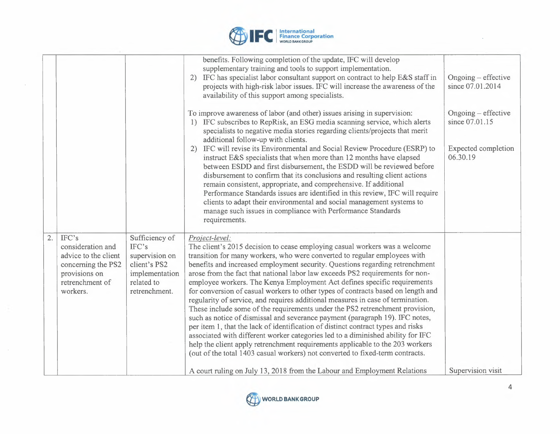

|    |                                                                                                                          |                                                                                                            | benefits. Following completion of the update, IFC will develop<br>supplementary training and tools to support implementation.<br>2) IFC has specialist labor consultant support on contract to help E&S staff in<br>projects with high-risk labor issues. IFC will increase the awareness of the<br>availability of this support among specialists.<br>To improve awareness of labor (and other) issues arising in supervision:<br>1) IFC subscribes to RepRisk, an ESG media scanning service, which alerts<br>specialists to negative media stories regarding clients/projects that merit<br>additional follow-up with clients.<br>IFC will revise its Environmental and Social Review Procedure (ESRP) to<br>2)<br>instruct E&S specialists that when more than 12 months have elapsed<br>between ESDD and first disbursement, the ESDD will be reviewed before<br>disbursement to confirm that its conclusions and resulting client actions<br>remain consistent, appropriate, and comprehensive. If additional<br>Performance Standards issues are identified in this review, IFC will require<br>clients to adapt their environmental and social management systems to<br>manage such issues in compliance with Performance Standards<br>requirements. | $O$ ngoing – effective<br>since 07.01.2014<br>$O$ ngoing – effective<br>since 07.01.15<br>Expected completion<br>06.30.19 |
|----|--------------------------------------------------------------------------------------------------------------------------|------------------------------------------------------------------------------------------------------------|--------------------------------------------------------------------------------------------------------------------------------------------------------------------------------------------------------------------------------------------------------------------------------------------------------------------------------------------------------------------------------------------------------------------------------------------------------------------------------------------------------------------------------------------------------------------------------------------------------------------------------------------------------------------------------------------------------------------------------------------------------------------------------------------------------------------------------------------------------------------------------------------------------------------------------------------------------------------------------------------------------------------------------------------------------------------------------------------------------------------------------------------------------------------------------------------------------------------------------------------------------------|---------------------------------------------------------------------------------------------------------------------------|
| 2. | IFC's<br>consideration and<br>advice to the client<br>concerning the PS2<br>provisions on<br>retrenchment of<br>workers. | Sufficiency of<br>IFC's<br>supervision on<br>client's PS2<br>implementation<br>related to<br>retrenchment. | Project-level:<br>The client's 2015 decision to cease employing casual workers was a welcome<br>transition for many workers, who were converted to regular employees with<br>benefits and increased employment security. Questions regarding retrenchment<br>arose from the fact that national labor law exceeds PS2 requirements for non-<br>employee workers. The Kenya Employment Act defines specific requirements<br>for conversion of casual workers to other types of contracts based on length and<br>regularity of service, and requires additional measures in case of termination.<br>These include some of the requirements under the PS2 retrenchment provision,<br>such as notice of dismissal and severance payment (paragraph 19). IFC notes,<br>per item 1, that the lack of identification of distinct contract types and risks<br>associated with different worker categories led to a diminished ability for IFC<br>help the client apply retrenchment requirements applicable to the 203 workers<br>(out of the total 1403 casual workers) not converted to fixed-term contracts.<br>A court ruling on July 13, 2018 from the Labour and Employment Relations                                                                           | Supervision visit                                                                                                         |

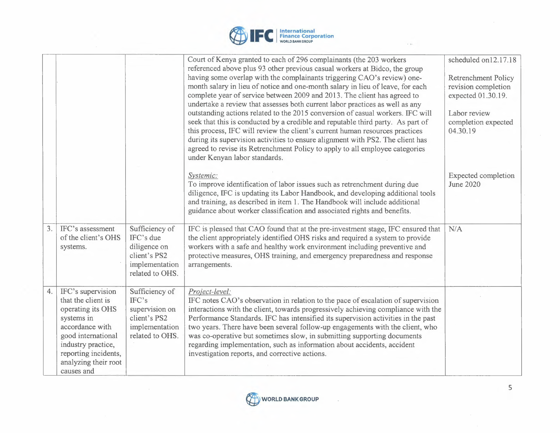

|    |                                                                                                                                                                                                         |                                                                                                  | Court of Kenya granted to each of 296 complainants (the 203 workers<br>referenced above plus 93 other previous casual workers at Bidco, the group<br>having some overlap with the complainants triggering CAO's review) one-<br>month salary in lieu of notice and one-month salary in lieu of leave, for each<br>complete year of service between 2009 and 2013. The client has agreed to<br>undertake a review that assesses both current labor practices as well as any<br>outstanding actions related to the 2015 conversion of casual workers. IFC will<br>seek that this is conducted by a credible and reputable third party. As part of<br>this process, IFC will review the client's current human resources practices<br>during its supervision activities to ensure alignment with PS2. The client has<br>agreed to revise its Retrenchment Policy to apply to all employee categories<br>under Kenyan labor standards. | scheduled on12.17.18<br><b>Retrenchment Policy</b><br>revision completion<br>expected 01.30.19.<br>Labor review<br>completion expected<br>04.30.19 |
|----|---------------------------------------------------------------------------------------------------------------------------------------------------------------------------------------------------------|--------------------------------------------------------------------------------------------------|------------------------------------------------------------------------------------------------------------------------------------------------------------------------------------------------------------------------------------------------------------------------------------------------------------------------------------------------------------------------------------------------------------------------------------------------------------------------------------------------------------------------------------------------------------------------------------------------------------------------------------------------------------------------------------------------------------------------------------------------------------------------------------------------------------------------------------------------------------------------------------------------------------------------------------|----------------------------------------------------------------------------------------------------------------------------------------------------|
|    |                                                                                                                                                                                                         |                                                                                                  | Systemic:<br>To improve identification of labor issues such as retrenchment during due<br>diligence, IFC is updating its Labor Handbook, and developing additional tools<br>and training, as described in item 1. The Handbook will include additional<br>guidance about worker classification and associated rights and benefits.                                                                                                                                                                                                                                                                                                                                                                                                                                                                                                                                                                                                 | Expected completion<br><b>June 2020</b>                                                                                                            |
| 3. | IFC's assessment<br>of the client's OHS<br>systems.                                                                                                                                                     | Sufficiency of<br>IFC's due<br>diligence on<br>client's PS2<br>implementation<br>related to OHS. | IFC is pleased that CAO found that at the pre-investment stage, IFC ensured that<br>the client appropriately identified OHS risks and required a system to provide<br>workers with a safe and healthy work environment including preventive and<br>protective measures, OHS training, and emergency preparedness and response<br>arrangements.                                                                                                                                                                                                                                                                                                                                                                                                                                                                                                                                                                                     | N/A                                                                                                                                                |
| 4. | IFC's supervision<br>that the client is<br>operating its OHS<br>systems in<br>accordance with<br>good international<br>industry practice,<br>reporting incidents,<br>analyzing their root<br>causes and | Sufficiency of<br>IFC's<br>supervision on<br>client's PS2<br>implementation<br>related to OHS.   | Project-level:<br>IFC notes CAO's observation in relation to the pace of escalation of supervision<br>interactions with the client, towards progressively achieving compliance with the<br>Performance Standards. IFC has intensified its supervision activities in the past<br>two years. There have been several follow-up engagements with the client, who<br>was co-operative but sometimes slow, in submitting supporting documents<br>regarding implementation, such as information about accidents, accident<br>investigation reports, and corrective actions.                                                                                                                                                                                                                                                                                                                                                              |                                                                                                                                                    |



 $\sim$   $\sim$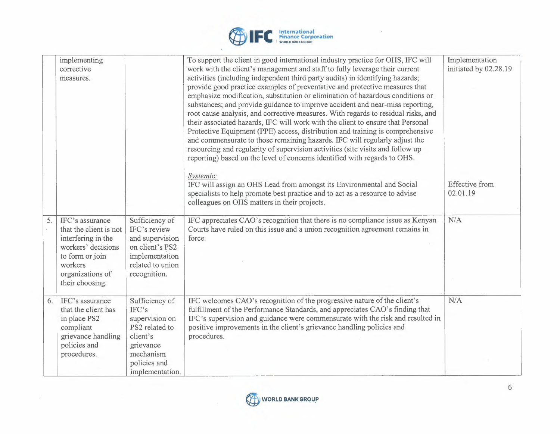

 $\sim$ 

|    | implementing<br>corrective<br>measures.                                                                                                                    |                                                                                                                            | To support the client in good international industry practice for OHS, IFC will<br>work with the client's management and staff to fully leverage their current<br>activities (including independent third party audits) in identifying hazards;<br>provide good practice examples of preventative and protective measures that<br>emphasize modification, substitution or elimination of hazardous conditions or<br>substances; and provide guidance to improve accident and near-miss reporting,<br>root cause analysis, and corrective measures. With regards to residual risks, and<br>their associated hazards, IFC will work with the client to ensure that Personal<br>Protective Equipment (PPE) access, distribution and training is comprehensive<br>and commensurate to those remaining hazards. IFC will regularly adjust the<br>resourcing and regularity of supervision activities (site visits and follow up<br>reporting) based on the level of concerns identified with regards to OHS. | Implementation<br>initiated by 02.28.19 |
|----|------------------------------------------------------------------------------------------------------------------------------------------------------------|----------------------------------------------------------------------------------------------------------------------------|---------------------------------------------------------------------------------------------------------------------------------------------------------------------------------------------------------------------------------------------------------------------------------------------------------------------------------------------------------------------------------------------------------------------------------------------------------------------------------------------------------------------------------------------------------------------------------------------------------------------------------------------------------------------------------------------------------------------------------------------------------------------------------------------------------------------------------------------------------------------------------------------------------------------------------------------------------------------------------------------------------|-----------------------------------------|
|    |                                                                                                                                                            |                                                                                                                            | Systemic:<br>IFC will assign an OHS Lead from amongst its Environmental and Social<br>specialists to help promote best practice and to act as a resource to advise<br>colleagues on OHS matters in their projects.                                                                                                                                                                                                                                                                                                                                                                                                                                                                                                                                                                                                                                                                                                                                                                                      | <b>Effective</b> from<br>02.01.19       |
| 5. | IFC's assurance<br>that the client is not<br>interfering in the<br>workers' decisions<br>to form or join<br>workers<br>organizations of<br>their choosing. | Sufficiency of<br>IFC's review<br>and supervision<br>on client's PS2<br>implementation<br>related to union<br>recognition. | IFC appreciates CAO's recognition that there is no compliance issue as Kenyan<br>Courts have ruled on this issue and a union recognition agreement remains in<br>force.                                                                                                                                                                                                                                                                                                                                                                                                                                                                                                                                                                                                                                                                                                                                                                                                                                 | N/A                                     |
| 6. | IFC's assurance<br>that the client has<br>in place PS2<br>compliant<br>grievance handling<br>policies and<br>procedures.                                   | Sufficiency of<br>IFC's<br>supervision on<br>PS2 related to<br>client's<br>grievance<br>mechanism                          | IFC welcomes CAO's recognition of the progressive nature of the client's<br>fulfillment of the Performance Standards, and appreciates CAO's finding that<br>IFC's supervision and guidance were commensurate with the risk and resulted in<br>positive improvements in the client's grievance handling policies and<br>procedures.                                                                                                                                                                                                                                                                                                                                                                                                                                                                                                                                                                                                                                                                      | N/A                                     |
|    |                                                                                                                                                            | policies and<br>implementation.                                                                                            |                                                                                                                                                                                                                                                                                                                                                                                                                                                                                                                                                                                                                                                                                                                                                                                                                                                                                                                                                                                                         |                                         |



 $\cdot$